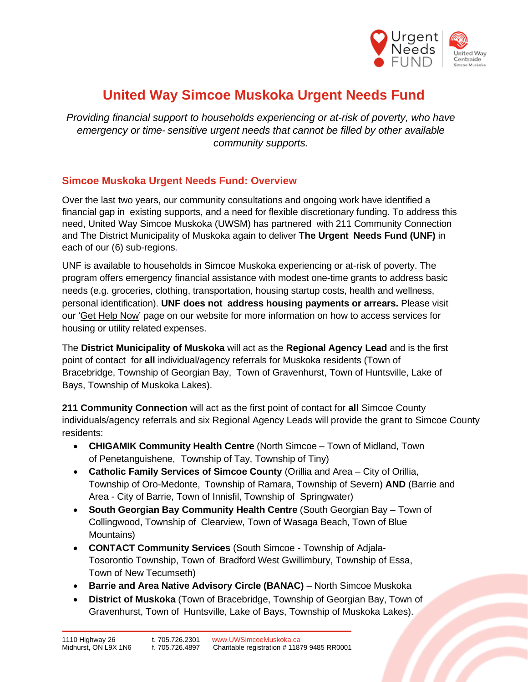

# **United Way Simcoe Muskoka Urgent Needs Fund**

*Providing financial support to households experiencing or at-risk of poverty, who have emergency or time- sensitive urgent needs that cannot be filled by other available community supports.*

#### **Simcoe Muskoka Urgent Needs Fund: Overview**

Over the last two years, our community consultations and ongoing work have identified a financial gap in existing supports, and a need for flexible discretionary funding. To address this need, United Way Simcoe Muskoka (UWSM) has partnered with 211 Community Connection and The District Municipality of Muskoka again to deliver **The Urgent Needs Fund (UNF)** in each of our (6) sub-regions.

UNF is available to households in Simcoe Muskoka experiencing or at-risk of poverty. The program offers emergency financial assistance with modest one-time grants to address basic needs (e.g. groceries, clothing, transportation, housing startup costs, health and wellness, personal identification). **UNF does not address housing payments or arrears.** Please visit our 'Get Help [Now'](https://uwsimcoemuskoka.ca/get-help-now) page on our website for more information on how to access services for housing or utility related expenses.

The **District Municipality of Muskoka** will act as the **Regional Agency Lead** and is the first point of contact for **all** individual/agency referrals for Muskoka residents (Town of Bracebridge, Township of Georgian Bay, Town of Gravenhurst, Town of Huntsville, Lake of Bays, Township of Muskoka Lakes).

**211 Community Connection** will act as the first point of contact for **all** Simcoe County individuals/agency referrals and six Regional Agency Leads will provide the grant to Simcoe County residents:

- **CHIGAMIK Community Health Centre** (North Simcoe Town of Midland, Town of Penetanguishene, Township of Tay, Township of Tiny)
- **Catholic Family Services of Simcoe County** (Orillia and Area City of Orillia, Township of Oro-Medonte, Township of Ramara, Township of Severn) **AND** (Barrie and Area - City of Barrie, Town of Innisfil, Township of Springwater)
- **South Georgian Bay Community Health Centre** (South Georgian Bay Town of Collingwood, Township of Clearview, Town of Wasaga Beach, Town of Blue Mountains)
- **CONTACT Community Services** (South Simcoe Township of Adjala-Tosorontio Township, Town of Bradford West Gwillimbury, Township of Essa, Town of New Tecumseth)
- **Barrie and Area Native Advisory Circle (BANAC)** North Simcoe Muskoka
- **District of Muskoka** (Town of Bracebridge, Township of Georgian Bay, Town of Gravenhurst, Town of Huntsville, Lake of Bays, Township of Muskoka Lakes).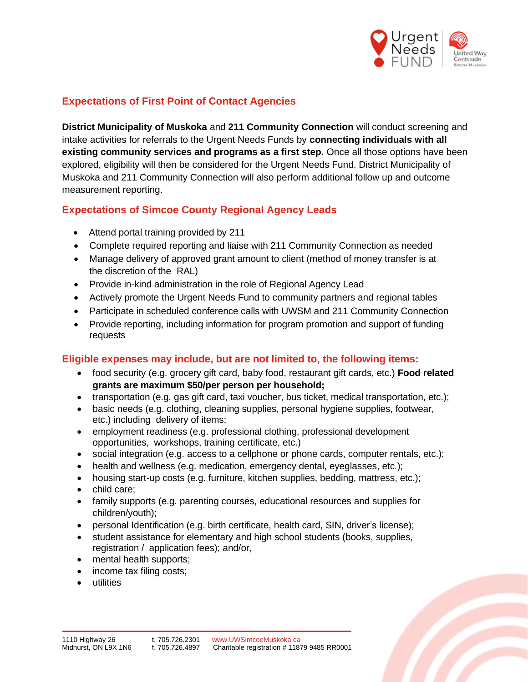

### **Expectations of First Point of Contact Agencies**

**District Municipality of Muskoka** and **211 Community Connection** will conduct screening and intake activities for referrals to the Urgent Needs Funds by **connecting individuals with all existing community services and programs as a first step.** Once all those options have been explored, eligibility will then be considered for the Urgent Needs Fund. District Municipality of Muskoka and 211 Community Connection will also perform additional follow up and outcome measurement reporting.

## **Expectations of Simcoe County Regional Agency Leads**

- Attend portal training provided by 211
- Complete required reporting and liaise with 211 Community Connection as needed
- Manage delivery of approved grant amount to client (method of money transfer is at the discretion of the RAL)
- Provide in-kind administration in the role of Regional Agency Lead
- Actively promote the Urgent Needs Fund to community partners and regional tables
- Participate in scheduled conference calls with UWSM and 211 Community Connection
- Provide reporting, including information for program promotion and support of funding requests

#### **Eligible expenses may include, but are not limited to, the following items:**

- food security (e.g. grocery gift card, baby food, restaurant gift cards, etc.) **Food related grants are maximum \$50/per person per household;**
- transportation (e.g. gas gift card, taxi voucher, bus ticket, medical transportation, etc.);
- basic needs (e.g. clothing, cleaning supplies, personal hygiene supplies, footwear, etc.) including delivery of items;
- employment readiness (e.g. professional clothing, professional development opportunities, workshops, training certificate, etc.)
- social integration (e.g. access to a cellphone or phone cards, computer rentals, etc.);
- health and wellness (e.g. medication, emergency dental, eyeglasses, etc.);
- housing start-up costs (e.g. furniture, kitchen supplies, bedding, mattress, etc.);
- child care:
- family supports (e.g. parenting courses, educational resources and supplies for children/youth);
- personal Identification (e.g. birth certificate, health card, SIN, driver's license);
- student assistance for elementary and high school students (books, supplies, registration / application fees); and/or,
- mental health supports;
- income tax filing costs;
- utilities